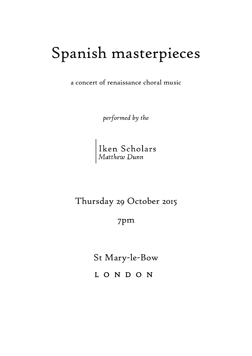## Spanish masterpieces

a concert of renaissance choral music

*performed by the*

Iken Scholars<br>Matthew Dunn

Thursday 29 October 2015

7pm

St Mary-le-Bow

L O N D O N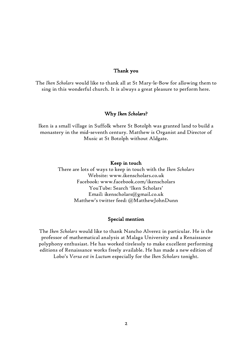#### Thank you

The *Iken Scholars* would like to thank all at St Mary-le-Bow for allowing them to sing in this wonderful church. It is always a great pleasure to perform here.

#### Why *Iken Scholars*?

Iken is a small village in Suffolk where St Botolph was granted land to build a monastery in the mid-seventh century. Matthew is Organist and Director of Music at St Botolph without Aldgate.

#### Keep in touch

There are lots of ways to keep in touch with the *Iken Scholars* Website: www.ikenscholars.co.uk Facebook: www.facebook.com/ikenscholars YouTube: Search 'Iken Scholars' Email: ikenscholars@gmail.co.uk Matthew's twitter feed: @MatthewJohnDunn

#### Special mention

The *Iken Scholars* would like to thank Nancho Alverez in particular. He is the professor of mathematical analysis at Malaga University and a Renaissance polyphony enthusiast. He has worked tirelessly to make excellent performing editions of Renaissance works freely available. He has made a new edition of Lobo's *Versa est in Luctum* especially for the *Iken Scholars* tonight.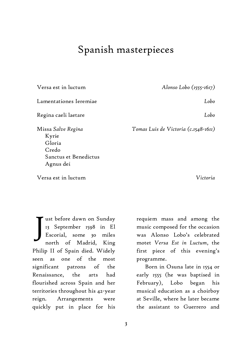### Spanish masterpieces

Versa est in luctum Lamentationes Ieremiae Regina caeli laetare Missa *Salve Regina* Kyrie Gloria Credo Sanctus et Benedictus Agnus dei *Alonso Lobo (1555-1617) Lobo Lobo Tomas Luis de Victoria (c.1548-1611)*

Versa est in luctum

*Victoria*

ust before dawn on Sunday 13 September 1598 in El Escorial, some 30 miles north of Madrid, King Philip II of Spain died. Widely seen as one of the most significant patrons of the Renaissance, the arts had flourished across Spain and her territories throughout his 42-year reign. Arrangements were quickly put in place for his J

requiem mass and among the music composed for the occasion was Alonso Lobo's celebrated motet *Versa Est in Luctum*, the first piece of this evening's programme.

Born in Osuna late in 1554 or early 1555 (he was baptised in February), Lobo began his musical education as a choirboy at Seville, where he later became the assistant to Guerrero and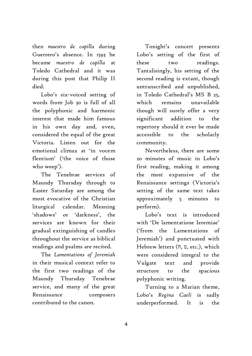then *maestro de capilla* during Guerrero's absence. In 1593 he became *maestro de capilla* at Toledo Cathedral and it was during this post that Philip II died.

Lobo's six-voiced setting of words from Job 30 is full of all the polyphonic and harmonic interest that made him famous in his own day and, even, considered the equal of the great Victoria. Listen out for the emotional climax at 'in vocem flentium' ('the voice of those who weep').

The Tenebrae services of Maundy Thursday through to Easter Saturday are among the most evocative of the Christian liturgical calendar. Meaning 'shadows' or 'darkness', the services are known for their gradual extinguishing of candles throughout the service as biblical readings and psalms are recited.

The *Lamentations of Jeremiah* in their musical context refer to the first two readings of the Maundy Thursday Tenebrae service, and many of the great Renaissance composers contributed to the canon.

Tonight's concert presents Lobo's setting of the first of these two readings. Tantalisingly, his setting of the second reading is extant, though untranscribed and unpublished, in Toledo Cathedral's MS B 25, which remains unavailable though will surely offer a very significant addition to the repertory should it ever be made accessible to the scholarly community.

Nevertheless, there are some 20 minutes of music in Lobo's first reading, making it among the most expansive of the Renaissance settings (Victoria's setting of the same text takes approximately 5 minutes to perform).

Lobo's text is introduced with 'De lamentatione Ieremiae' ('from the Lamentations of Jeremiah') and punctuated with Hebrew letters (ח, ט, etc.), which were considered integral to the Vulgate text and provide structure to the spacious polyphonic writing.

Turning to a Marian theme, Lobo's *Regina Caeli* is sadly underperformed. It is the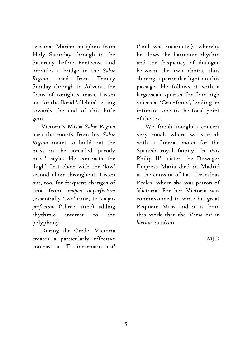seasonal Marian antiphon from Holy Saturday through to the Saturday before Pentecost and provides a bridge to the *Salve Regina*, used from Trinity Sunday through to Advent, the focus of tonight's mass. Listen out for the florid 'alleluia' setting towards the end of this little gem.

Victoria's Missa *Salve Regina* uses the motifs from his *Salve Regina* motet to build out the mass in the so-called 'parody mass' style. He contrasts the 'high' first choir with the 'low' second choir throughout. Listen out, too, for frequent changes of time from *tempus imperfectum*  (essentially 'two' time) to *tempus perfectum* ('three' time) adding rhythmic interest to the polyphony.

During the Credo, Victoria creates a particularly effective contrast at 'Et incarnatus est'

('and was incarnate'), whereby he slows the harmonic rhythm and the frequency of dialogue between the two choirs, thus shining a particular light on this passage. He follows it with a large-scale quartet for four high voices at 'Crucifixus', lending an intimate tone to the focal point of the text.

We finish tonight's concert very much where we started: with a funeral motet for the Spanish royal family. In 1603 Philip II's sister, the Dowager Empress Maria died in Madrid at the convent of Las Descalzas Reales, where she was patron of Victoria. For her Victoria was commissioned to write his great Requiem Mass and it is from this work that the *Versa est in luctum* is taken.

MJD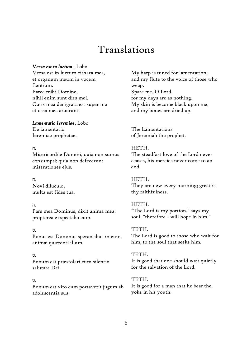## Translations

#### *Versa est in luctum ,* Lobo

Versa est in luctum cithara mea, et organum meum in vocem flentium. Parce mihi Domine, nihil enim sunt dies mei. Cutis mea denigrata est super me et ossa mea aruerunt.

#### *Lamentatio Ieremiae*, Lobo

De lamentatio Ieremiae prophetae.

#### .ח

Misericordiæ Domini, quia non sumus consumpti; quia non defecerunt miserationes ejus.

 .ח Novi diluculo, multa est fides tua.

#### .ח

Pars mea Dominus, dixit anima mea; propterea exspectabo eum.

#### .ט

Bonus est Dominus sperantibus in eum, animæ quærenti illum.

#### .ט

Bonum est præstolari cum silentio salutare Dei.

#### .ט

Bonum est viro cum portaverit jugum ab adolescentia sua.

My harp is tuned for lamentation, and my flute to the voice of those who weep. Spare me, O Lord, for my days are as nothing. My skin is become black upon me, and my bones are dried up.

The Lamentations of Jeremiah the prophet.

#### HETH.

The steadfast love of the Lord never ceases, his mercies never come to an end.

#### HETH.

They are new every morning; great is thy faithfulness.

#### HETH.

"The Lord is my portion," says my soul, "therefore I will hope in him."

#### TETH.

The Lord is good to those who wait for him, to the soul that seeks him.

#### TETH. It is good that one should wait quietly for the salvation of the Lord.

TETH. It is good for a man that he bear the yoke in his youth.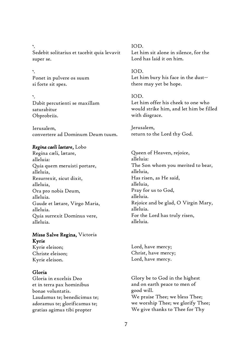.י Sedebit solitarius et tacebit quia levavit super se.

 .י Ponet in pulvere os suum si forte sit spes.

 .י Dabit percutienti se maxillam saturabitur Obprobriis.

Ierusalem, convertere ad Dominum Deum tuum.

#### *Regina caeli laetare*, Lobo

Regina cæli, lætare, alleluia: Quia quem meruisti portare, alleluia, Resurrexit, sicut dixit, alleluia, Ora pro nobis Deum, alleluia. Gaude et lætare, Virgo Maria, alleluia. Quia surrexit Dominus vere, alleluia.

#### *Missa* Salve Regina, Victoria Kyrie

Kyrie eleison; Christe eleison; Kyrie eleison.

#### Gloria

Gloria in excelsis Deo et in terra pax hominibus bonae voluntatis. Laudamus te; benedicimus te; adoramus te; glorificamus te; gratias agimus tibi propter

IOD. Let him sit alone in silence, for the Lord has laid it on him.

IOD. Let him bury his face in the dust- there may yet be hope.

#### IOD.

Let him offer his cheek to one who would strike him, and let him be filled with disgrace.

Jerusalem, return to the Lord thy God.

Queen of Heaven, rejoice, alleluia: The Son whom you merited to bear, alleluia, Has risen, as He said, alleluia, Pray for us to God, alleluia. Rejoice and be glad, O Virgin Mary, alleluia. For the Lord has truly risen, alleluia.

Lord, have mercy; Christ, have mercy; Lord, have mercy.

Glory be to God in the highest and on earth peace to men of good will. We praise Thee; we bless Thee; we worship Thee; we glorify Thee; We give thanks to Thee for Thy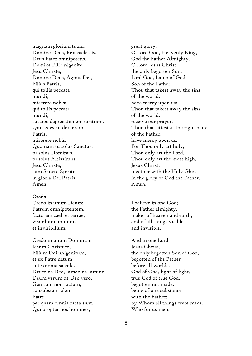magnam gloriam tuam. Domine Deus, Rex caelestis, Deus Pater omnipotens. Domine Fili unigenite, Jesu Christe, Domine Deus, Agnus Dei, Filius Patris, qui tollis peccata mundi, miserere nobis; qui tollis peccata mundi, suscipe deprecationem nostram. Qui sedes ad dexteram Patris, miserere nobis. Quoniam tu solus Sanctus, tu solus Dominus, tu solus Altissimus, Jesu Christe, cum Sancto Spiritu in gloria Dei Patris. Amen.

#### Credo

Credo in unum Deum; Patrem omnipotentem, factorem caeli et terrae, visibilium omnium et invisibilium.

Credo in unum Dominum Jesum Christum, Filium Dei unigenitum, et ex Patre natum ante omnia sæcula. Deum de Deo, lumen de lumine, Deum verum de Deo vero, Genitum non factum, consubstantialem Patri: per quem omnia facta sunt. Qui propter nos homines,

great glory. O Lord God, Heavenly King, God the Father Almighty. O Lord Jesus Christ, the only begotten Son. Lord God, Lamb of God, Son of the Father, Thou that takest away the sins of the world, have mercy upon us; Thou that takest away the sins of the world, receive our prayer. Thou that sittest at the right hand of the Father, have mercy upon us. For Thou only art holy, Thou only art the Lord, Thou only art the most high, Jesus Christ, together with the Holy Ghost in the glory of God the Father. Amen.

I believe in one God; the Father almighty, maker of heaven and earth, and of all things visible and invisible.

And in one Lord Jesus Christ, the only begotten Son of God, begotten of the Father before all worlds. God of God, light of light, true God of true God, begotten not made, being of one substance with the Father: by Whom all things were made. Who for us men,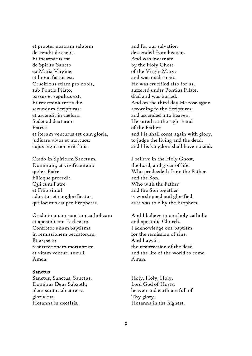et propter nostram salutem descendit de caelis. Et incarnatus est de Spiritu Sancto ex Maria Virgine: et homo factus est. Crucifixus etiam pro nobis, sub Pontio Pilato, passus et sepultus est. Et resurrexit tertia die secundum Scripturas: et ascendit in caelum. Sedet ad dexteram Patris: et iterum venturus est cum gloria, judicare vivos et mortuos: cujus regni non erit finis.

Credo in Spiritum Sanctum, Dominum, et vivificantem: qui ex Patre Filioque procedit. Qui cum Patre et Filio simul adoratur et conglorificatur: qui locutus est per Prophetas.

Credo in unam sanctam catholicam et apostolicam Ecclesiam. Confiteor unum baptisma in remissionem peccatorum. Et expecto resurrectionem mortuorum et vitam venturi sæculi. Amen.

#### Sanctus

Sanctus, Sanctus, Sanctus, Dominus Deus Sabaoth; pleni sunt caeli et terra gloria tua. Hosanna in excelsis.

and for our salvation descended from heaven. And was incarnate by the Holy Ghost of the Virgin Mary: and was made man. He was crucified also for us, suffered under Pontius Pilate, died and was buried. And on the third day He rose again according to the Scriptures: and ascended into heaven. He sitteth at the right hand of the Father: and He shall come again with glory, to judge the living and the dead: and His kingdom shall have no end.

I believe in the Holy Ghost, the Lord, and giver of life: Who prodeedeth from the Father and the Son. Who with the Father and the Son together is worshipped and glorified: as it was told by the Prophets.

And I believe in one holy catholic and apostolic Church. I acknowledge one baptism for the remission of sins. And I await the resurrection of the dead and the life of the world to come. Amen.

Holy, Holy, Holy, Lord God of Hosts; heaven and earth are full of Thy glory. Hosanna in the highest.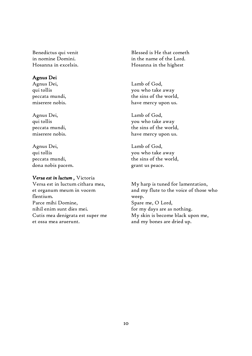Benedictus qui venit in nomine Domini. Hosanna in excelsis.

#### Agnus Dei

Agnus Dei, qui tollis peccata mundi, miserere nobis.

Agnus Dei, qui tollis peccata mundi, miserere nobis.

Agnus Dei, qui tollis peccata mundi, dona nobis pacem.

#### *Versa est in luctum ,* Victoria

Versa est in luctum cithara mea, et organum meum in vocem flentium. Parce mihi Domine, nihil enim sunt dies mei. Cutis mea denigrata est super me et ossa mea aruerunt.

Blessed is He that cometh in the name of the Lord. Hosanna in the highest

Lamb of God, you who take away the sins of the world, have mercy upon us.

Lamb of God, you who take away the sins of the world, have mercy upon us.

Lamb of God, you who take away the sins of the world, grant us peace.

My harp is tuned for lamentation, and my flute to the voice of those who weep. Spare me, O Lord, for my days are as nothing. My skin is become black upon me, and my bones are dried up.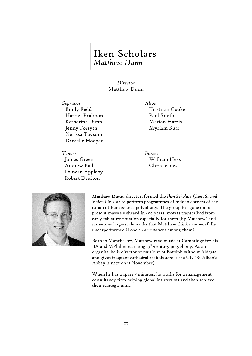# Iken Scholars<br>Matthew Dunn

#### *Director* Matthew Dunn

*Sopranos Altos* Emily Field Harriet Pridmore Katharina Dunn Jenny Forsyth Nerissa Taysom Danielle Hooper

*Tenors Basses* James Green Andrew Balls Duncan Appleby Robert Drufton

Tristram Cooke Paul Smith Marion Harris Myriam Burr

William Hess Chris Jeanes



Matthew Dunn, director, formed the *Iken Scholars* (then *Sacred Voices*) in 2012 to perform programmes of hidden corners of the canon of Renaissance polyphony. The group has gone on to present masses unheard in 400 years, motets transcribed from early tablature notation especially for them (by Matthew) and numerous large-scale works that Matthew thinks are woefully underperformed (Lobo's *Lamentations* among them).

Born in Manchester, Matthew read music at Cambridge for his BA and MPhil researching 13<sup>th</sup>-century polyphony. As an organist, he is director of music at St Botolph without Aldgate and gives frequent cathedral recitals across the UK (St Alban's Abbey is next on 11 November).

When he has a spare 5 minutes, he works for a management consultancy firm helping global insurers set and then achieve their strategic aims.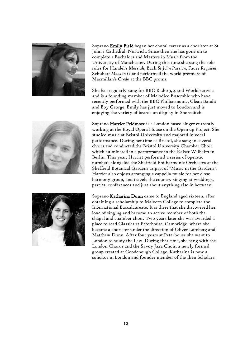

Soprano Emily Field began her choral career as a chorister at St John's Cathedral, Norwich. Since then she has gone on to complete a Bachelors and Masters in Music from the University of Manchester. During this time she sang the solo roles for Handel's *Messiah*, Bach *St John Passion*, Faure *Requiem*, Schubert *Mass in G* and performed the world premiere of Macmillan's *Credo* at the BBC proms.

She has regularly sung for BBC Radio 3, 4 and World service and is a founding member of Melodico Ensemble who have recently performed with the BBC Philharmonic, Clean Bandit and Boy George. Emily has just moved to London and is enjoying the variety of beards on display in Shoreditch.



Soprano Harriet Pridmore is a London based singer currently working at the Royal Opera House on the Open up Project. She studied music at Bristol University and majored in vocal performance. During her time at Bristol, she sang in several choirs and conducted the Bristol University Chamber Choir which culminated in a performance in the Kaiser Wilhelm in Berlin. This year, Harriet performed a series of operatic numbers alongside the Sheffield Philharmonic Orchestra at the Sheffield Botanical Gardens as part of "Music in the Gardens". Harriet also enjoys arranging a cappella music for her close harmony group, and travels the country singing at weddings, parties, conferences and just about anything else in between!

Soprano Katharina Dunn came to England aged sixteen, after obtaining a scholarship to Malvern College to complete the International Baccalaureate. It is there that she discovered her love of singing and became an active member of both the chapel and chamber choir. Two years later she was awarded a place to read Classics at Peterhouse, Cambridge, where she became a chorister under the direction of Oliver Lomberg and Matthew Dunn. After four years at Peterhouse she went to London to study the Law. During that time, she sang with the London Chorus and the Savoy Jazz Choir, a newly formed group created at Goodenough College. Katharina is now a solicitor in London and founder member of the Iken Scholars.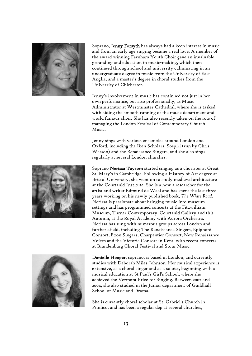

Soprano, Jenny Forsyth has always had a keen interest in music and from an early age singing became a real love. A member of the award winning Farnham Youth Choir gave an invaluable grounding and education in music-making, which then continued through school and university culminating in an undergraduate degree in music from the University of East Anglia, and a master's degree in choral studies from the University of Chichester.

Jenny's involvement in music has continued not just in her own performance, but also professionally, as Music Administrator at Westminster Cathedral, where she is tasked with aiding the smooth running of the music department and world famous choir. She has also recently taken on the role of managing the London Festival of Contemporary Church Music.

Jenny sings with various ensembles around London and Oxford, including the Iken Scholars, Sospiri (run by Chris Watson) and the Renaissance Singers, and she also sings regularly at several London churches.

Soprano Nerissa Taysom started singing as a chorister at Great St. Mary's in Cambridge. Following a History of Art degree at Bristol University, she went on to study medieval architecture at the Courtauld Institute. She is a now a researcher for the artist and writer Edmund de Waal and has spent the last three years working on his newly published book, *The White Road*. Nerissa is passionate about bringing music into museum settings and has programmed concerts at the Fitzwilliam Museum, Turner Contemporary, Courtauld Gallery and this Autumn, at the Royal Academy with Aurora Orchestra. Nerissa has sung with numerous groups across London and further afield, including The Renaissance Singers, Epiphoni Consort, Exon Singers, Charpentier Consort, New Renaissance Voices and the Victoria Consort in Kent, with recent concerts at Brandenburg Choral Festival and Stour Music.



Danielle Hooper, soprano, is based in London, and currently studies with Deborah Miles-Johnson. Her musical experience is extensive, as a choral singer and as a soloist, beginning with a musical education at St Paul's Girl's School, where she achieved the Vermont Prize for Singing. Between 2002 and 2004, she also studied in the Junior department of Guildhall School of Music and Drama.

She is currently choral scholar at St. Gabriel's Church in Pimlico, and has been a regular dep at several churches,

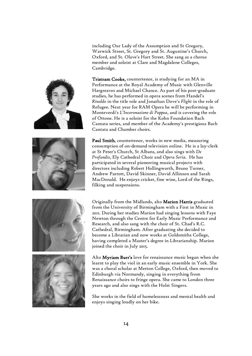including Our Lady of the Assumption and St Gregory, Warwick Street, St. Gregory and St. Augustine's Church, Oxford, and St. Olave's Hart Street. She sang as a chorus member and soloist at Clare and Magdalene Colleges, Cambridge.

Tristram Cooke, countertenor, is studying for an MA in Performance at the Royal Academy of Music with Glenville Hargreaves and Michael Chance. As part of his post-graduate studies, he has performed in opera scenes from Handel's *Rinaldo* in the title role and Jonathan Dove's *Flight* in the role of Refugee. Next year for RAM Opera he will be performing in Monteverdi's *L'Incoronazione di Poppea*, and is covering the role of Ottone. He is a soloist for the Kohn Foundation Bach Cantata series, and member of the Academy's prestigious Bach Cantata and Chamber choirs.

Paul Smith, countertenor, works in new media, measuring consumption of on-demand television online. He is a lay-clerk at St Peter's Church, St Albans, and also sings with *De Profundis*, Ely Cathedral Choir and *Opera Seria*. He has participated in several pioneering musical projects with directors including Robert Hollingworth, Bruno Turner, Andrew Parrott, David Skinner, David Allinson and Sarah MacDonald. He enjoys cricket, fine wine, Lord of the Rings, filking and suspensions.





Originally from the Midlands, alto Marion Harris graduated from the University of Birmingham with a First in Music in 2011. During her studies Marion had singing lessons with Faye Newton through the Centre for Early Music Performance and Research, and also sang with the choir of St. Chad's R.C. Cathedral, Birmingham. After graduating she decided to become a Librarian and now works at Goldsmiths College, having completed a Master's degree in Librarianship. Marion joined the choir in July 2015.

Alto **Myriam Burr's** love for renaissance music began when she learnt to play the viol in an early music ensemble in York. She was a choral scholar at Merton College, Oxford, then moved to Edinburgh via Normandy, singing in everything from Renaissance choirs to fringe opera. She came to London three years ago and also sings with the Holst Singers.

She works in the field of homelessness and mental health and enjoys singing loudly on her bike.



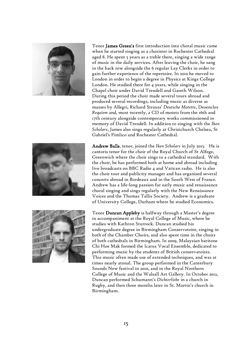

Tenor **James Green's** first introduction into choral music came when he started singing as a chorister in Rochester Cathedral aged 8. He spent 5 years as a treble there, singing a wide range of music in the daily services. After leaving the choir, he sang in the back row alongside the 6 regular Lay Clerks in order to gain further experience of the repertoire. In 2010 he moved to London in order to begin a degree in Physics at Kings College London. He studied there for 4 years, while singing in the Chapel choir under David Trendell and Gareth Wilson. During this period the choir made several tours abroad and produced several recordings, including music as diverse as masses by Allegri, Richard Strauss' *Deutsche Motette*, Desenclos *Requiem* and, most recently, a CD of motets from the 16th and 17th century alongside contemporary works commissioned in memory of David Trendell. In addition to singing with the *Iken Scholars*, James also sings regularly at Christchurch Chelsea, St Gabriel's Pimlico and Rochester Cathedral.



Tenor Duncan Appleby is halfway through a Master's degree in accompaniment at the Royal College of Music, where he studies with Kathron Sturrock. Duncan studied his undergraduate degree in Birmingham Conservatoire, singing in both of the Chamber Choirs, and also spent time in the choirs of both cathedrals in Birmingham. In 2009, Malaysian baritone Chi Hoe Mak formed the Icarus Vocal Ensemble, dedicated to performing music by the students of British conservatoires. This music often made use of extended techniques, and was at times nearly atonal. The group performed in the Canterbury Sounds New festival in 2010, and in the Royal Northern College of Music and the Walsall Art Gallery. In October 2012, Duncan performed Schumann's *Dichterliebe* in a church in Rugby, and then three months later in St. Martin's church in Birmingham.